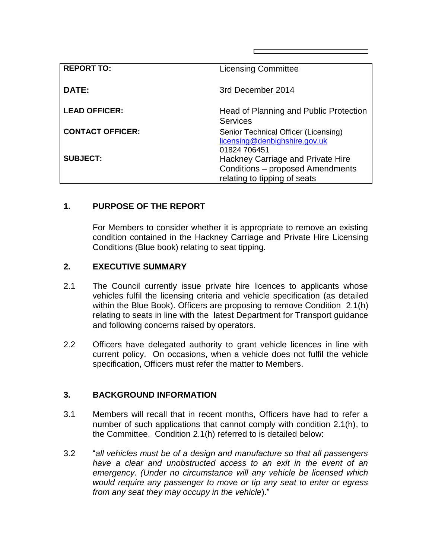| <b>REPORT TO:</b>       | <b>Licensing Committee</b>                                                                            |
|-------------------------|-------------------------------------------------------------------------------------------------------|
| DATE:                   | 3rd December 2014                                                                                     |
| <b>LEAD OFFICER:</b>    | Head of Planning and Public Protection<br><b>Services</b>                                             |
| <b>CONTACT OFFICER:</b> | Senior Technical Officer (Licensing)<br>licensing@denbighshire.gov.uk<br>01824 706451                 |
| <b>SUBJECT:</b>         | Hackney Carriage and Private Hire<br>Conditions - proposed Amendments<br>relating to tipping of seats |

# **1. PURPOSE OF THE REPORT**

For Members to consider whether it is appropriate to remove an existing condition contained in the Hackney Carriage and Private Hire Licensing Conditions (Blue book) relating to seat tipping.

### **2. EXECUTIVE SUMMARY**

- 2.1 The Council currently issue private hire licences to applicants whose vehicles fulfil the licensing criteria and vehicle specification (as detailed within the Blue Book). Officers are proposing to remove Condition 2.1(h) relating to seats in line with the latest Department for Transport guidance and following concerns raised by operators.
- 2.2 Officers have delegated authority to grant vehicle licences in line with current policy. On occasions, when a vehicle does not fulfil the vehicle specification, Officers must refer the matter to Members.

#### **3. BACKGROUND INFORMATION**

- 3.1 Members will recall that in recent months, Officers have had to refer a number of such applications that cannot comply with condition 2.1(h), to the Committee. Condition 2.1(h) referred to is detailed below:
- 3.2 "*all vehicles must be of a design and manufacture so that all passengers have a clear and unobstructed access to an exit in the event of an emergency. (Under no circumstance will any vehicle be licensed which would require any passenger to move or tip any seat to enter or egress from any seat they may occupy in the vehicle*)."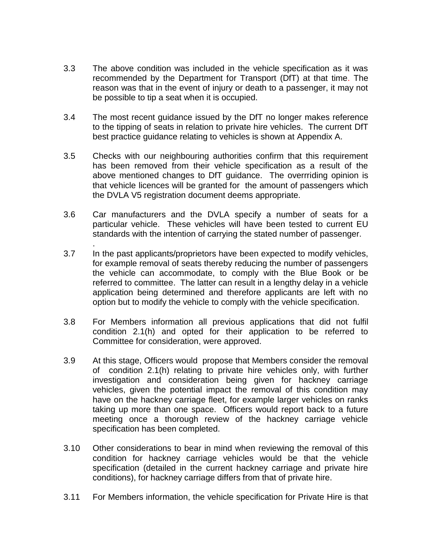- 3.3 The above condition was included in the vehicle specification as it was recommended by the Department for Transport (DfT) at that time. The reason was that in the event of injury or death to a passenger, it may not be possible to tip a seat when it is occupied.
- 3.4 The most recent guidance issued by the DfT no longer makes reference to the tipping of seats in relation to private hire vehicles. The current DfT best practice guidance relating to vehicles is shown at Appendix A.
- 3.5 Checks with our neighbouring authorities confirm that this requirement has been removed from their vehicle specification as a result of the above mentioned changes to DfT guidance. The overrriding opinion is that vehicle licences will be granted for the amount of passengers which the DVLA V5 registration document deems appropriate.
- 3.6 Car manufacturers and the DVLA specify a number of seats for a particular vehicle. These vehicles will have been tested to current EU standards with the intention of carrying the stated number of passenger.

.

- 3.7 In the past applicants/proprietors have been expected to modify vehicles, for example removal of seats thereby reducing the number of passengers the vehicle can accommodate, to comply with the Blue Book or be referred to committee. The latter can result in a lengthy delay in a vehicle application being determined and therefore applicants are left with no option but to modify the vehicle to comply with the vehicle specification.
- 3.8 For Members information all previous applications that did not fulfil condition 2.1(h) and opted for their application to be referred to Committee for consideration, were approved.
- 3.9 At this stage, Officers would propose that Members consider the removal of condition 2.1(h) relating to private hire vehicles only, with further investigation and consideration being given for hackney carriage vehicles, given the potential impact the removal of this condition may have on the hackney carriage fleet, for example larger vehicles on ranks taking up more than one space. Officers would report back to a future meeting once a thorough review of the hackney carriage vehicle specification has been completed.
- 3.10 Other considerations to bear in mind when reviewing the removal of this condition for hackney carriage vehicles would be that the vehicle specification (detailed in the current hackney carriage and private hire conditions), for hackney carriage differs from that of private hire.
- 3.11 For Members information, the vehicle specification for Private Hire is that